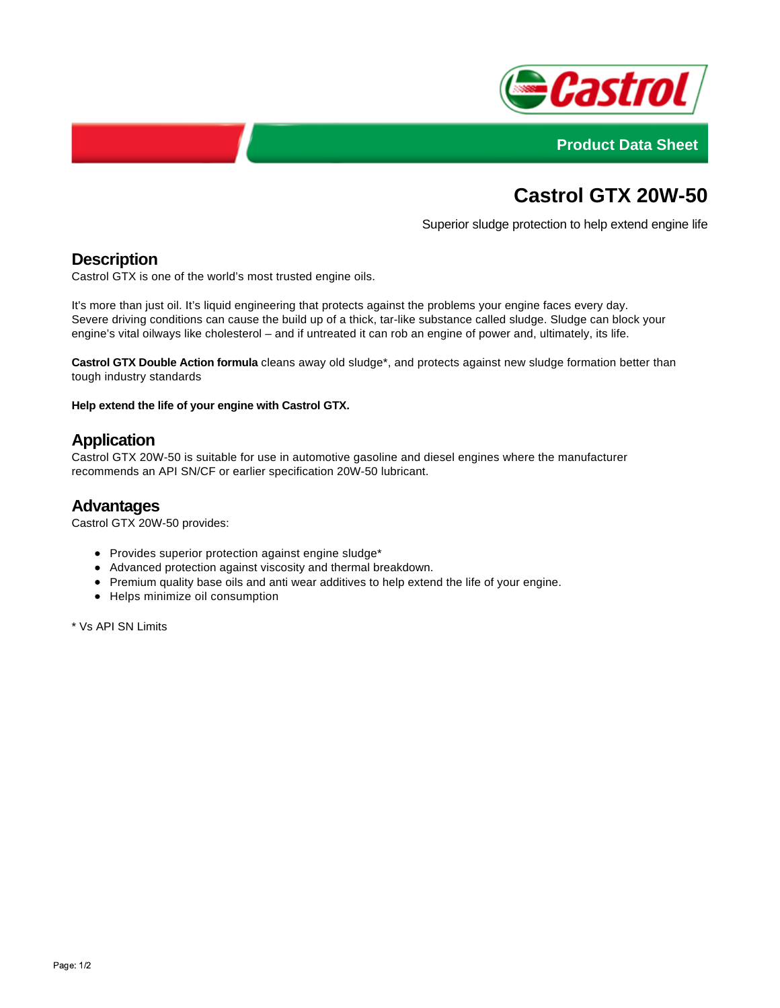



# **Castrol GTX 20W-50**

Superior sludge protection to help extend engine life

# **Description**

Castrol GTX is one of the world's most trusted engine oils.

It's more than just oil. It's liquid engineering that protects against the problems your engine faces every day. Severe driving conditions can cause the build up of a thick, tar-like substance called sludge. Sludge can block your engine's vital oilways like cholesterol – and if untreated it can rob an engine of power and, ultimately, its life.

**Castrol GTX Double Action formula** cleans away old sludge\*, and protects against new sludge formation better than tough industry standards

**Help extend the life of your engine with Castrol GTX.**

## **Application**

Castrol GTX 20W-50 is suitable for use in automotive gasoline and diesel engines where the manufacturer recommends an API SN/CF or earlier specification 20W-50 lubricant.

#### **Advantages**

Castrol GTX 20W-50 provides:

- Provides superior protection against engine sludge\*
- Advanced protection against viscosity and thermal breakdown.
- Premium quality base oils and anti wear additives to help extend the life of your engine.
- Helps minimize oil consumption

\* Vs API SN Limits